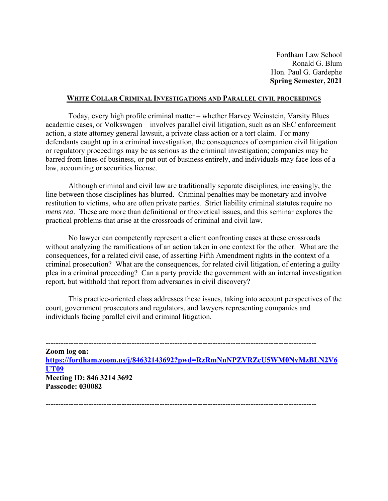Fordham Law School Ronald G. Blum Hon. Paul G. Gardephe **Spring Semester, 2021** 

### **WHITE COLLAR CRIMINAL INVESTIGATIONS AND PARALLEL CIVIL PROCEEDINGS**

 Today, every high profile criminal matter – whether Harvey Weinstein, Varsity Blues academic cases, or Volkswagen – involves parallel civil litigation, such as an SEC enforcement action, a state attorney general lawsuit, a private class action or a tort claim. For many defendants caught up in a criminal investigation, the consequences of companion civil litigation or regulatory proceedings may be as serious as the criminal investigation; companies may be barred from lines of business, or put out of business entirely, and individuals may face loss of a law, accounting or securities license.

 Although criminal and civil law are traditionally separate disciplines, increasingly, the line between those disciplines has blurred. Criminal penalties may be monetary and involve restitution to victims, who are often private parties. Strict liability criminal statutes require no *mens rea*. These are more than definitional or theoretical issues, and this seminar explores the practical problems that arise at the crossroads of criminal and civil law.

 No lawyer can competently represent a client confronting cases at these crossroads without analyzing the ramifications of an action taken in one context for the other. What are the consequences, for a related civil case, of asserting Fifth Amendment rights in the context of a criminal prosecution? What are the consequences, for related civil litigation, of entering a guilty plea in a criminal proceeding? Can a party provide the government with an internal investigation report, but withhold that report from adversaries in civil discovery?

 This practice-oriented class addresses these issues, taking into account perspectives of the court, government prosecutors and regulators, and lawyers representing companies and individuals facing parallel civil and criminal litigation.

-----------------------------------------------------------------------------------------------------------

**Zoom log on: https://fordham.zoom.us/j/84632143692?pwd=RzRmNnNPZVRZcU5WM0NvMzBLN2V6 UT09 Meeting ID: 846 3214 3692 Passcode: 030082** 

-----------------------------------------------------------------------------------------------------------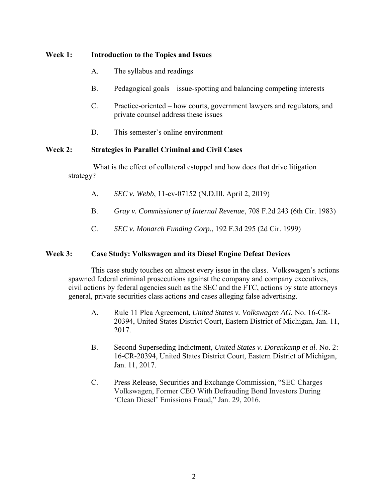# **Week 1: Introduction to the Topics and Issues**

- A. The syllabus and readings
- B. Pedagogical goals issue-spotting and balancing competing interests
- C. Practice-oriented how courts, government lawyers and regulators, and private counsel address these issues
- D. This semester's online environment

## **Week 2: Strategies in Parallel Criminal and Civil Cases**

What is the effect of collateral estoppel and how does that drive litigation strategy?

- A. *SEC v. Webb*, 11-cv-07152 (N.D.Ill. April 2, 2019)
- B. *Gray v. Commissioner of Internal Revenue*, 708 F.2d 243 (6th Cir. 1983)
- C. *SEC v. Monarch Funding Corp*., 192 F.3d 295 (2d Cir. 1999)

### **Week 3: Case Study: Volkswagen and its Diesel Engine Defeat Devices**

This case study touches on almost every issue in the class. Volkswagen's actions spawned federal criminal prosecutions against the company and company executives, civil actions by federal agencies such as the SEC and the FTC, actions by state attorneys general, private securities class actions and cases alleging false advertising.

- A. Rule 11 Plea Agreement, *United States v. Volkswagen AG*, No. 16-CR-20394, United States District Court, Eastern District of Michigan, Jan. 11, 2017.
- B. Second Superseding Indictment, *United States v. Dorenkamp et al.* No. 2: 16-CR-20394, United States District Court, Eastern District of Michigan, Jan. 11, 2017.
- C. Press Release, Securities and Exchange Commission, "SEC Charges Volkswagen, Former CEO With Defrauding Bond Investors During 'Clean Diesel' Emissions Fraud," Jan. 29, 2016.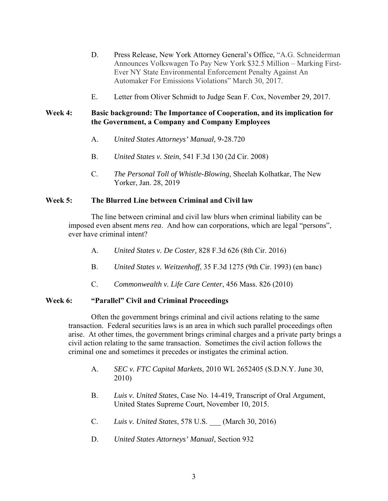- D.Press Release, New York Attorney General's Office, "A.G. Schneiderman Announces Volkswagen To Pay New York \$32.5 Million – Marking First-Ever NY State Environmental Enforcement Penalty Against An Automaker For Emissions Violations" March 30, 2017.
- E. Letter from Oliver Schmidt to Judge Sean F. Cox, November 29, 2017.

# **Week 4: Basic background: The Importance of Cooperation, and its implication for the Government, a Company and Company Employees**

- A. *United States Attorneys' Manual,* 9-28.720
- B. *United States v. Stein*, 541 F.3d 130 (2d Cir. 2008)
- C. *The Personal Toll of Whistle-Blowing*, Sheelah Kolhatkar, The New Yorker, Jan. 28, 2019

# **Week 5: The Blurred Line between Criminal and Civil law**

The line between criminal and civil law blurs when criminal liability can be imposed even absent *mens rea*. And how can corporations, which are legal "persons", ever have criminal intent?

- A. *United States v. De Coster,* 828 F.3d 626 (8th Cir. 2016)
- B. *United States v. Weitzenhoff*, 35 F.3d 1275 (9th Cir. 1993) (en banc)
- C. *Commonwealth v. Life Care Center*, 456 Mass. 826 (2010)

# **Week 6: "Parallel" Civil and Criminal Proceedings**

Often the government brings criminal and civil actions relating to the same transaction. Federal securities laws is an area in which such parallel proceedings often arise. At other times, the government brings criminal charges and a private party brings a civil action relating to the same transaction. Sometimes the civil action follows the criminal one and sometimes it precedes or instigates the criminal action.

- A. *SEC v. FTC Capital Markets*, 2010 WL 2652405 (S.D.N.Y. June 30, 2010)
- B. *Luis v. United States*, Case No. 14-419, Transcript of Oral Argument, United States Supreme Court, November 10, 2015.
- C. *Luis v. United States*, 578 U.S. \_\_\_ (March 30, 2016)
- D. *United States Attorneys' Manual*, Section 932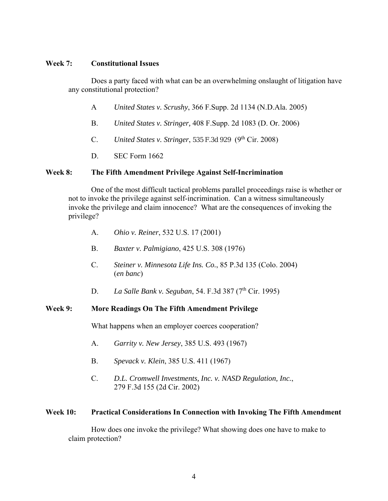### **Week 7: Constitutional Issues**

Does a party faced with what can be an overwhelming onslaught of litigation have any constitutional protection?

- A *United States v. Scrushy*, 366 F.Supp. 2d 1134 (N.D.Ala. 2005)
- B. *United States v. Stringer,* 408 F.Supp. 2d 1083 (D. Or. 2006)
- C. *United States v. Stringer*, 535 F.3d 929 (9<sup>th</sup> Cir. 2008)
- D. SEC Form 1662

### **Week 8: The Fifth Amendment Privilege Against Self-Incrimination**

One of the most difficult tactical problems parallel proceedings raise is whether or not to invoke the privilege against self-incrimination. Can a witness simultaneously invoke the privilege and claim innocence? What are the consequences of invoking the privilege?

- A. *Ohio v. Reiner*, 532 U.S. 17 (2001)
- B. *Baxter v. Palmigiano*, 425 U.S. 308 (1976)
- C. *Steiner v. Minnesota Life Ins. Co.*, 85 P.3d 135 (Colo. 2004) (*en banc*)
- D. *La Salle Bank v. Seguban*, 54. F.3d 387 (7th Cir. 1995)

### **Week 9: More Readings On The Fifth Amendment Privilege**

What happens when an employer coerces cooperation?

- A. *Garrity v. New Jersey*, 385 U.S. 493 (1967)
- B. *Spevack v. Klein*, 385 U.S. 411 (1967)
- C. *D.L. Cromwell Investments, Inc. v. NASD Regulation, Inc.*, 279 F.3d 155 (2d Cir. 2002)

### **Week 10: Practical Considerations In Connection with Invoking The Fifth Amendment**

How does one invoke the privilege? What showing does one have to make to claim protection?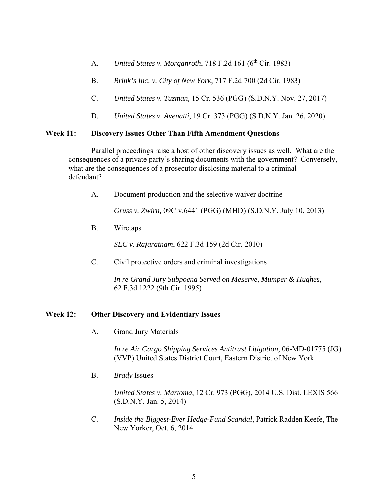- A. *United States v. Morganroth*, 718 F.2d 161 (6<sup>th</sup> Cir. 1983)
- B. *Brink's Inc. v. City of New York*, 717 F.2d 700 (2d Cir. 1983)
- C. *United States v. Tuzman,* 15 Cr. 536 (PGG) (S.D.N.Y. Nov. 27, 2017)
- D. *United States v. Avenatti*, 19 Cr. 373 (PGG) (S.D.N.Y. Jan. 26, 2020)

### **Week 11: Discovery Issues Other Than Fifth Amendment Questions**

 Parallel proceedings raise a host of other discovery issues as well. What are the consequences of a private party's sharing documents with the government? Conversely, what are the consequences of a prosecutor disclosing material to a criminal defendant?

A. Document production and the selective waiver doctrine

*Gruss v. Zwirn,* 09Civ.6441 (PGG) (MHD) (S.D.N.Y. July 10, 2013)

B. Wiretaps

*SEC v. Rajaratnam*, 622 F.3d 159 (2d Cir. 2010)

C. Civil protective orders and criminal investigations

 *In re Grand Jury Subpoena Served on Meserve, Mumper & Hughes*, 62 F.3d 1222 (9th Cir. 1995)

### **Week 12: Other Discovery and Evidentiary Issues**

A. Grand Jury Materials

 *In re Air Cargo Shipping Services Antitrust Litigation*, 06-MD-01775 (JG) (VVP) United States District Court, Eastern District of New York

B. *Brady* Issues

 *United States v. Martoma*, 12 Cr. 973 (PGG), 2014 U.S. Dist. LEXIS 566 (S.D.N.Y. Jan. 5, 2014)

 C. *Inside the Biggest-Ever Hedge-Fund Scandal*, Patrick Radden Keefe, The New Yorker, Oct. 6, 2014